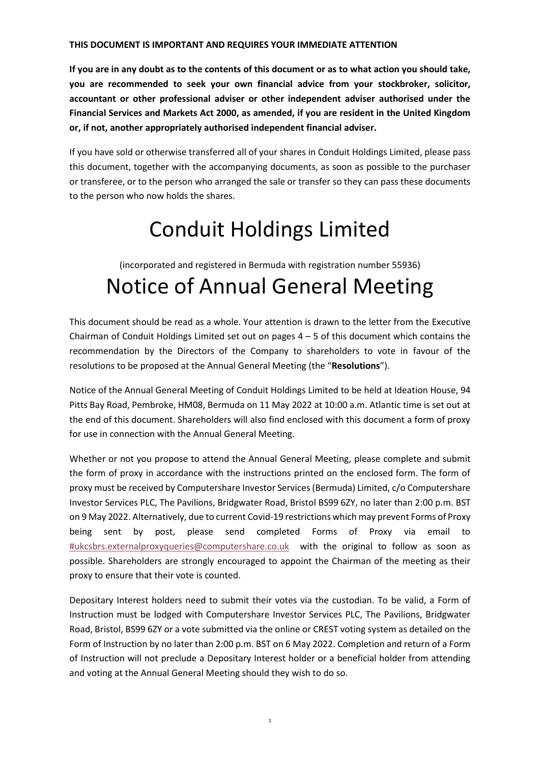# **THIS DOCUMENT IS IMPORTANT AND REQUIRES YOUR IMMEDIATE ATTENTION**

**If you are in any doubt as to the contents of this document or as to what action you should take, you are recommended to seek your own financial advice from your stockbroker, solicitor, accountant or other professional adviser or other independent adviser authorised under the Financial Services and Markets Act 2000, as amended, if you are resident in the United Kingdom or, if not, another appropriately authorised independent financial adviser.**

If you have sold or otherwise transferred all of your shares in Conduit Holdings Limited, please pass this document, together with the accompanying documents, as soon as possible to the purchaser or transferee, or to the person who arranged the sale or transfer so they can pass these documents to the person who now holds the shares.

# Conduit Holdings Limited

# (incorporated and registered in Bermuda with registration number 55936) Notice of Annual General Meeting

This document should be read as a whole. Your attention is drawn to the letter from the Executive Chairman of Conduit Holdings Limited set out on pages  $4 - 5$  of this document which contains the recommendation by the Directors of the Company to shareholders to vote in favour of the resolutions to be proposed at the Annual General Meeting (the "**Resolutions**").

Notice of the Annual General Meeting of Conduit Holdings Limited to be held at Ideation House, 94 Pitts Bay Road, Pembroke, HM08, Bermuda on 11 May 2022 at 10:00 a.m. Atlantic time is set out at the end of this document. Shareholders will also find enclosed with this document a form of proxy for use in connection with the Annual General Meeting.

Whether or not you propose to attend the Annual General Meeting, please complete and submit the form of proxy in accordance with the instructions printed on the enclosed form. The form of proxy must be received by Computershare Investor Services (Bermuda) Limited, c/o Computershare Investor Services PLC, The Pavilions, Bridgwater Road, Bristol BS99 6ZY, no later than 2:00 p.m. BST on 9 May 2022. Alternatively, due to current Covid-19 restrictions which may prevent Forms of Proxy being sent by post, please send completed Forms of Proxy via email to [#ukcsbrs.externalproxyqueries@computershare.co.uk](mailto:#ukcsbrs.externalproxyqueries@computershare.co.uk) with the original to follow as soon as possible. Shareholders are strongly encouraged to appoint the Chairman of the meeting as their proxy to ensure that their vote is counted.

Depositary Interest holders need to submit their votes via the custodian. To be valid, a Form of Instruction must be lodged with Computershare Investor Services PLC, The Pavilions, Bridgwater Road, Bristol, BS99 6ZY or a vote submitted via the online or CREST voting system as detailed on the Form of Instruction by no later than 2:00 p.m. BST on 6 May 2022. Completion and return of a Form of Instruction will not preclude a Depositary Interest holder or a beneficial holder from attending and voting at the Annual General Meeting should they wish to do so.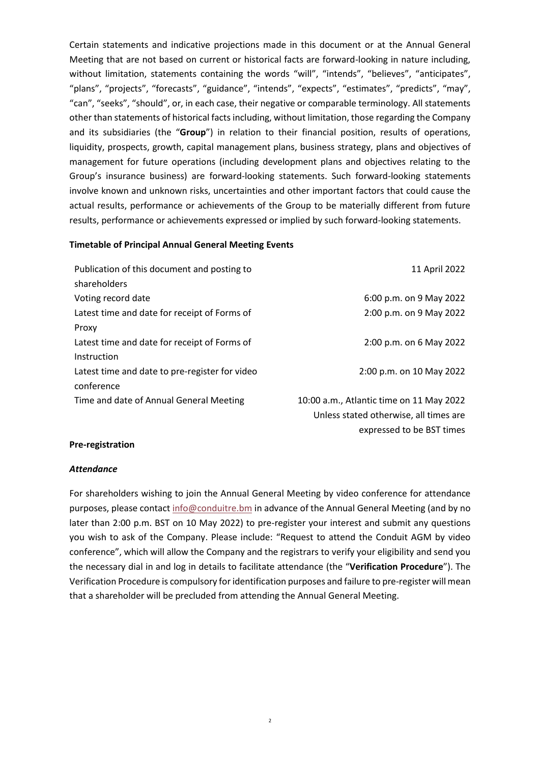Certain statements and indicative projections made in this document or at the Annual General Meeting that are not based on current or historical facts are forward-looking in nature including, without limitation, statements containing the words "will", "intends", "believes", "anticipates", "plans", "projects", "forecasts", "guidance", "intends", "expects", "estimates", "predicts", "may", "can", "seeks", "should", or, in each case, their negative or comparable terminology. All statements other than statements of historical facts including, without limitation, those regarding the Company and its subsidiaries (the "**Group**") in relation to their financial position, results of operations, liquidity, prospects, growth, capital management plans, business strategy, plans and objectives of management for future operations (including development plans and objectives relating to the Group's insurance business) are forward-looking statements. Such forward-looking statements involve known and unknown risks, uncertainties and other important factors that could cause the actual results, performance or achievements of the Group to be materially different from future results, performance or achievements expressed or implied by such forward-looking statements.

#### **Timetable of Principal Annual General Meeting Events**

| Publication of this document and posting to    | 11 April 2022                            |
|------------------------------------------------|------------------------------------------|
| shareholders                                   |                                          |
| Voting record date                             | 6:00 p.m. on 9 May 2022                  |
| Latest time and date for receipt of Forms of   | 2:00 p.m. on 9 May 2022                  |
| Proxy                                          |                                          |
| Latest time and date for receipt of Forms of   | 2:00 p.m. on 6 May 2022                  |
| Instruction                                    |                                          |
| Latest time and date to pre-register for video | 2:00 p.m. on 10 May 2022                 |
| conference                                     |                                          |
| Time and date of Annual General Meeting        | 10:00 a.m., Atlantic time on 11 May 2022 |
|                                                | Unless stated otherwise, all times are   |

expressed to be BST times

#### **Pre-registration**

#### *Attendance*

For shareholders wishing to join the Annual General Meeting by video conference for attendance purposes, please contact [info@conduitre.bm](mailto:info@conduitre.bm) in advance of the Annual General Meeting (and by no later than 2:00 p.m. BST on 10 May 2022) to pre-register your interest and submit any questions you wish to ask of the Company. Please include: "Request to attend the Conduit AGM by video conference", which will allow the Company and the registrars to verify your eligibility and send you the necessary dial in and log in details to facilitate attendance (the "**Verification Procedure**"). The Verification Procedure is compulsory for identification purposes and failure to pre-register will mean that a shareholder will be precluded from attending the Annual General Meeting.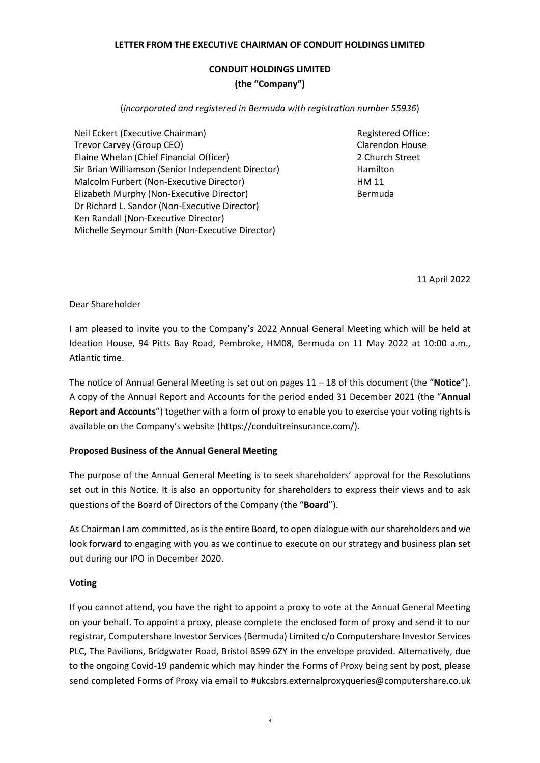# **LETTER FROM THE EXECUTIVE CHAIRMAN OF CONDUIT HOLDINGS LIMITED**

# **CONDUIT HOLDINGS LIMITED (the "Company")**

(*incorporated and registered in Bermuda with registration number 55936*)

Neil Eckert (Executive Chairman) Trevor Carvey (Group CEO) Elaine Whelan (Chief Financial Officer) Sir Brian Williamson (Senior Independent Director) Malcolm Furbert (Non-Executive Director) Elizabeth Murphy (Non-Executive Director) Dr Richard L. Sandor (Non-Executive Director) Ken Randall (Non-Executive Director) Michelle Seymour Smith (Non-Executive Director)

Registered Office: Clarendon House 2 Church Street Hamilton HM 11 Bermuda

11 April 2022

# Dear Shareholder

I am pleased to invite you to the Company's 2022 Annual General Meeting which will be held at Ideation House, 94 Pitts Bay Road, Pembroke, HM08, Bermuda on 11 May 2022 at 10:00 a.m., Atlantic time.

The notice of Annual General Meeting is set out on pages 11 – 18 of this document (the "**Notice**"). A copy of the Annual Report and Accounts for the period ended 31 December 2021 (the "**Annual Report and Accounts**") together with a form of proxy to enable you to exercise your voting rights is available on the Company's website (https://conduitreinsurance.com/).

# **Proposed Business of the Annual General Meeting**

The purpose of the Annual General Meeting is to seek shareholders' approval for the Resolutions set out in this Notice. It is also an opportunity for shareholders to express their views and to ask questions of the Board of Directors of the Company (the "**Board**").

As Chairman I am committed, as is the entire Board, to open dialogue with our shareholders and we look forward to engaging with you as we continue to execute on our strategy and business plan set out during our IPO in December 2020.

# **Voting**

If you cannot attend, you have the right to appoint a proxy to vote at the Annual General Meeting on your behalf. To appoint a proxy, please complete the enclosed form of proxy and send it to our registrar, Computershare Investor Services (Bermuda) Limited c/o Computershare Investor Services PLC, The Pavilions, Bridgwater Road, Bristol BS99 6ZY in the envelope provided. Alternatively, due to the ongoing Covid-19 pandemic which may hinder the Forms of Proxy being sent by post, please send completed Forms of Proxy via email to #ukcsbrs.externalproxyqueries@computershare.co.uk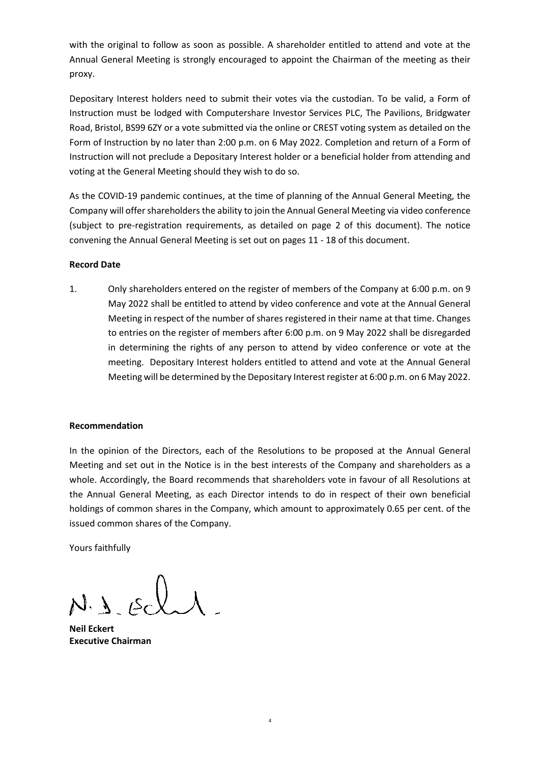with the original to follow as soon as possible. A shareholder entitled to attend and vote at the Annual General Meeting is strongly encouraged to appoint the Chairman of the meeting as their proxy.

Depositary Interest holders need to submit their votes via the custodian. To be valid, a Form of Instruction must be lodged with Computershare Investor Services PLC, The Pavilions, Bridgwater Road, Bristol, BS99 6ZY or a vote submitted via the online or CREST voting system as detailed on the Form of Instruction by no later than 2:00 p.m. on 6 May 2022. Completion and return of a Form of Instruction will not preclude a Depositary Interest holder or a beneficial holder from attending and voting at the General Meeting should they wish to do so.

As the COVID-19 pandemic continues, at the time of planning of the Annual General Meeting, the Company will offer shareholders the ability to join the Annual General Meeting via video conference (subject to pre-registration requirements, as detailed on page 2 of this document). The notice convening the Annual General Meeting is set out on pages 11 - 18 of this document.

# **Record Date**

1. Only shareholders entered on the register of members of the Company at 6:00 p.m. on 9 May 2022 shall be entitled to attend by video conference and vote at the Annual General Meeting in respect of the number of shares registered in their name at that time. Changes to entries on the register of members after 6:00 p.m. on 9 May 2022 shall be disregarded in determining the rights of any person to attend by video conference or vote at the meeting. Depositary Interest holders entitled to attend and vote at the Annual General Meeting will be determined by the Depositary Interest register at 6:00 p.m. on 6 May 2022.

# **Recommendation**

In the opinion of the Directors, each of the Resolutions to be proposed at the Annual General Meeting and set out in the Notice is in the best interests of the Company and shareholders as a whole. Accordingly, the Board recommends that shareholders vote in favour of all Resolutions at the Annual General Meeting, as each Director intends to do in respect of their own beneficial holdings of common shares in the Company, which amount to approximately 0.65 per cent. of the issued common shares of the Company.

4

Yours faithfully

 $J.16c$ 

**Neil Eckert Executive Chairman**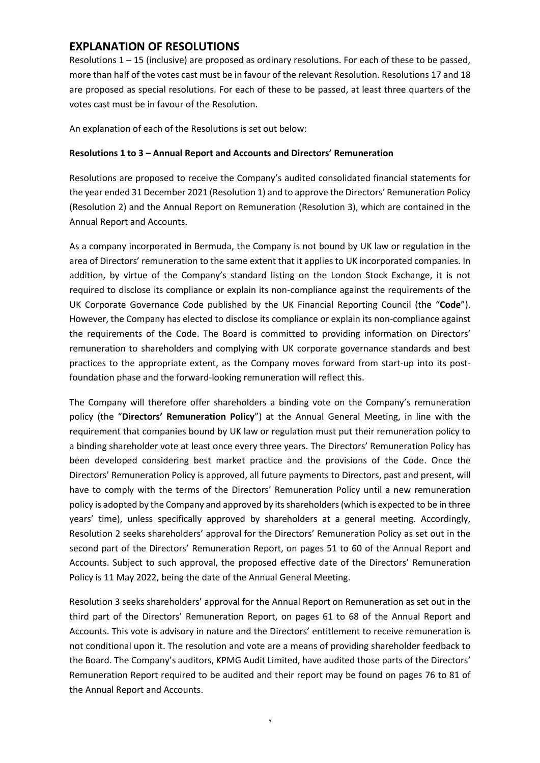# **EXPLANATION OF RESOLUTIONS**

Resolutions  $1 - 15$  (inclusive) are proposed as ordinary resolutions. For each of these to be passed, more than half of the votes cast must be in favour of the relevant Resolution. Resolutions 17 and 18 are proposed as special resolutions. For each of these to be passed, at least three quarters of the votes cast must be in favour of the Resolution.

An explanation of each of the Resolutions is set out below:

#### **Resolutions 1 to 3 – Annual Report and Accounts and Directors' Remuneration**

Resolutions are proposed to receive the Company's audited consolidated financial statements for the year ended 31 December 2021 (Resolution 1) and to approve the Directors' Remuneration Policy (Resolution 2) and the Annual Report on Remuneration (Resolution 3), which are contained in the Annual Report and Accounts.

As a company incorporated in Bermuda, the Company is not bound by UK law or regulation in the area of Directors' remuneration to the same extent that it applies to UK incorporated companies. In addition, by virtue of the Company's standard listing on the London Stock Exchange, it is not required to disclose its compliance or explain its non-compliance against the requirements of the UK Corporate Governance Code published by the UK Financial Reporting Council (the "**Code**"). However, the Company has elected to disclose its compliance or explain its non-compliance against the requirements of the Code. The Board is committed to providing information on Directors' remuneration to shareholders and complying with UK corporate governance standards and best practices to the appropriate extent, as the Company moves forward from start-up into its postfoundation phase and the forward-looking remuneration will reflect this.

The Company will therefore offer shareholders a binding vote on the Company's remuneration policy (the "**Directors' Remuneration Policy**") at the Annual General Meeting, in line with the requirement that companies bound by UK law or regulation must put their remuneration policy to a binding shareholder vote at least once every three years. The Directors' Remuneration Policy has been developed considering best market practice and the provisions of the Code. Once the Directors' Remuneration Policy is approved, all future payments to Directors, past and present, will have to comply with the terms of the Directors' Remuneration Policy until a new remuneration policy is adopted by the Company and approved by its shareholders (which is expected to be in three years' time), unless specifically approved by shareholders at a general meeting. Accordingly, Resolution 2 seeks shareholders' approval for the Directors' Remuneration Policy as set out in the second part of the Directors' Remuneration Report, on pages 51 to 60 of the Annual Report and Accounts. Subject to such approval, the proposed effective date of the Directors' Remuneration Policy is 11 May 2022, being the date of the Annual General Meeting.

Resolution 3 seeks shareholders' approval for the Annual Report on Remuneration as set out in the third part of the Directors' Remuneration Report, on pages 61 to 68 of the Annual Report and Accounts. This vote is advisory in nature and the Directors' entitlement to receive remuneration is not conditional upon it. The resolution and vote are a means of providing shareholder feedback to the Board. The Company's auditors, KPMG Audit Limited, have audited those parts of the Directors' Remuneration Report required to be audited and their report may be found on pages 76 to 81 of the Annual Report and Accounts.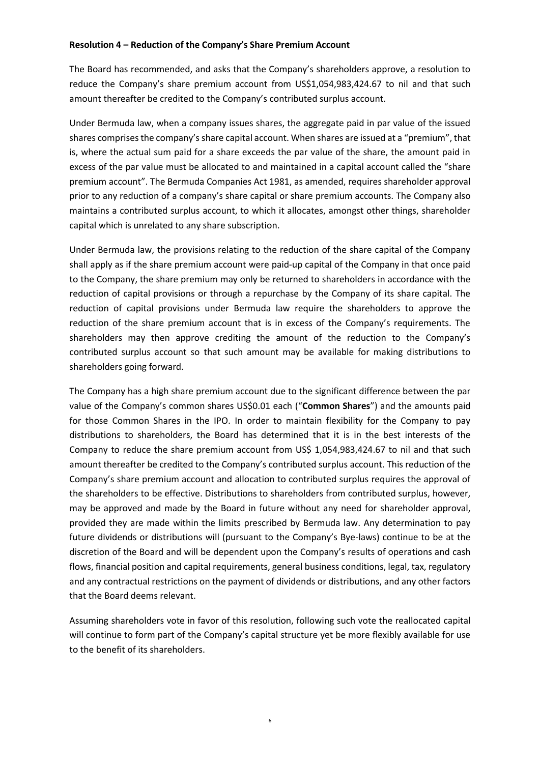#### **Resolution 4 – Reduction of the Company's Share Premium Account**

The Board has recommended, and asks that the Company's shareholders approve, a resolution to reduce the Company's share premium account from US\$1,054,983,424.67 to nil and that such amount thereafter be credited to the Company's contributed surplus account.

Under Bermuda law, when a company issues shares, the aggregate paid in par value of the issued shares comprises the company's share capital account. When shares are issued at a "premium", that is, where the actual sum paid for a share exceeds the par value of the share, the amount paid in excess of the par value must be allocated to and maintained in a capital account called the "share premium account". The Bermuda Companies Act 1981, as amended, requires shareholder approval prior to any reduction of a company's share capital or share premium accounts. The Company also maintains a contributed surplus account, to which it allocates, amongst other things, shareholder capital which is unrelated to any share subscription.

Under Bermuda law, the provisions relating to the reduction of the share capital of the Company shall apply as if the share premium account were paid-up capital of the Company in that once paid to the Company, the share premium may only be returned to shareholders in accordance with the reduction of capital provisions or through a repurchase by the Company of its share capital. The reduction of capital provisions under Bermuda law require the shareholders to approve the reduction of the share premium account that is in excess of the Company's requirements. The shareholders may then approve crediting the amount of the reduction to the Company's contributed surplus account so that such amount may be available for making distributions to shareholders going forward.

The Company has a high share premium account due to the significant difference between the par value of the Company's common shares US\$0.01 each ("**Common Shares**") and the amounts paid for those Common Shares in the IPO. In order to maintain flexibility for the Company to pay distributions to shareholders, the Board has determined that it is in the best interests of the Company to reduce the share premium account from US\$ 1,054,983,424.67 to nil and that such amount thereafter be credited to the Company's contributed surplus account. This reduction of the Company's share premium account and allocation to contributed surplus requires the approval of the shareholders to be effective. Distributions to shareholders from contributed surplus, however, may be approved and made by the Board in future without any need for shareholder approval, provided they are made within the limits prescribed by Bermuda law. Any determination to pay future dividends or distributions will (pursuant to the Company's Bye-laws) continue to be at the discretion of the Board and will be dependent upon the Company's results of operations and cash flows, financial position and capital requirements, general business conditions, legal, tax, regulatory and any contractual restrictions on the payment of dividends or distributions, and any other factors that the Board deems relevant.

Assuming shareholders vote in favor of this resolution, following such vote the reallocated capital will continue to form part of the Company's capital structure yet be more flexibly available for use to the benefit of its shareholders.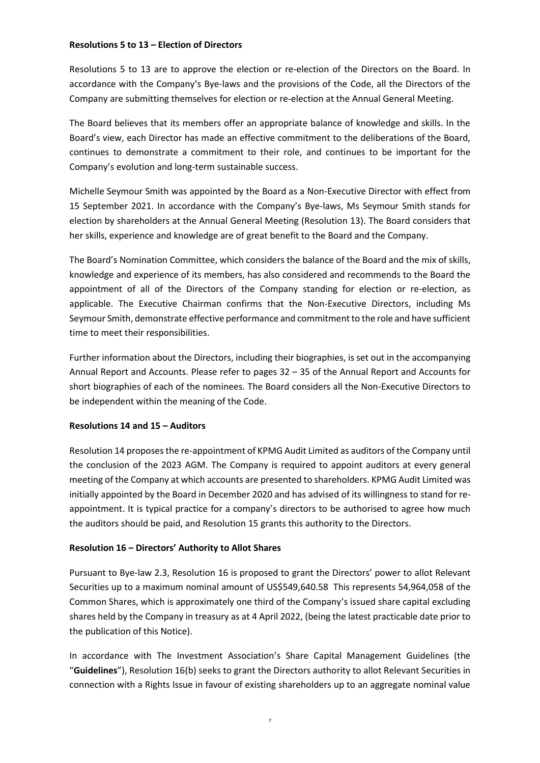# **Resolutions 5 to 13 – Election of Directors**

Resolutions 5 to 13 are to approve the election or re-election of the Directors on the Board. In accordance with the Company's Bye-laws and the provisions of the Code, all the Directors of the Company are submitting themselves for election or re-election at the Annual General Meeting.

The Board believes that its members offer an appropriate balance of knowledge and skills. In the Board's view, each Director has made an effective commitment to the deliberations of the Board, continues to demonstrate a commitment to their role, and continues to be important for the Company's evolution and long-term sustainable success.

Michelle Seymour Smith was appointed by the Board as a Non-Executive Director with effect from 15 September 2021. In accordance with the Company's Bye-laws, Ms Seymour Smith stands for election by shareholders at the Annual General Meeting (Resolution 13). The Board considers that her skills, experience and knowledge are of great benefit to the Board and the Company.

The Board's Nomination Committee, which considers the balance of the Board and the mix of skills, knowledge and experience of its members, has also considered and recommends to the Board the appointment of all of the Directors of the Company standing for election or re-election, as applicable. The Executive Chairman confirms that the Non-Executive Directors, including Ms Seymour Smith, demonstrate effective performance and commitment to the role and have sufficient time to meet their responsibilities.

Further information about the Directors, including their biographies, is set out in the accompanying Annual Report and Accounts. Please refer to pages 32 – 35 of the Annual Report and Accounts for short biographies of each of the nominees. The Board considers all the Non-Executive Directors to be independent within the meaning of the Code.

# **Resolutions 14 and 15 – Auditors**

Resolution 14 proposes the re-appointment of KPMG Audit Limited as auditors of the Company until the conclusion of the 2023 AGM. The Company is required to appoint auditors at every general meeting of the Company at which accounts are presented to shareholders. KPMG Audit Limited was initially appointed by the Board in December 2020 and has advised of its willingness to stand for reappointment. It is typical practice for a company's directors to be authorised to agree how much the auditors should be paid, and Resolution 15 grants this authority to the Directors.

# **Resolution 16 – Directors' Authority to Allot Shares**

Pursuant to Bye-law 2.3, Resolution 16 is proposed to grant the Directors' power to allot Relevant Securities up to a maximum nominal amount of US\$549,640.58 This represents 54,964,058 of the Common Shares, which is approximately one third of the Company's issued share capital excluding shares held by the Company in treasury as at 4 April 2022, (being the latest practicable date prior to the publication of this Notice).

In accordance with The Investment Association's Share Capital Management Guidelines (the "**Guidelines**"), Resolution 16(b) seeks to grant the Directors authority to allot Relevant Securities in connection with a Rights Issue in favour of existing shareholders up to an aggregate nominal value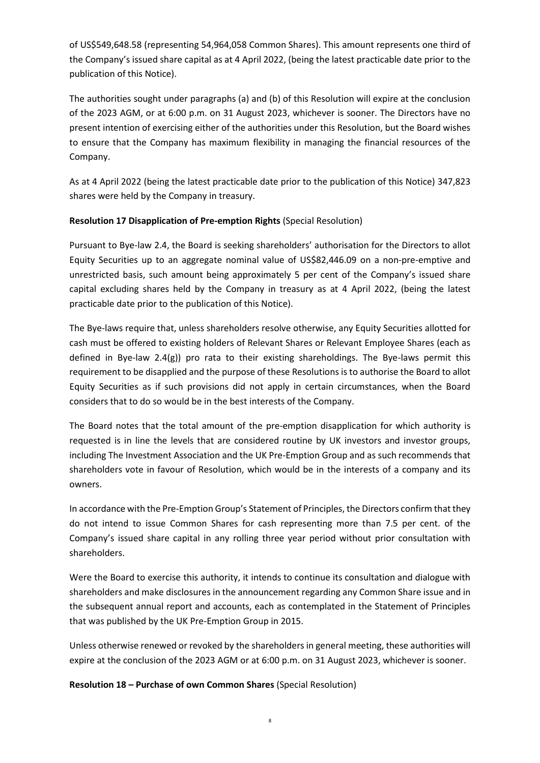of US\$549,648.58 (representing 54,964,058 Common Shares). This amount represents one third of the Company's issued share capital as at 4 April 2022, (being the latest practicable date prior to the publication of this Notice).

The authorities sought under paragraphs (a) and (b) of this Resolution will expire at the conclusion of the 2023 AGM, or at 6:00 p.m. on 31 August 2023, whichever is sooner. The Directors have no present intention of exercising either of the authorities under this Resolution, but the Board wishes to ensure that the Company has maximum flexibility in managing the financial resources of the Company.

As at 4 April 2022 (being the latest practicable date prior to the publication of this Notice) 347,823 shares were held by the Company in treasury.

# **Resolution 17 Disapplication of Pre-emption Rights** (Special Resolution)

Pursuant to Bye-law 2.4, the Board is seeking shareholders' authorisation for the Directors to allot Equity Securities up to an aggregate nominal value of US\$82,446.09 on a non-pre-emptive and unrestricted basis, such amount being approximately 5 per cent of the Company's issued share capital excluding shares held by the Company in treasury as at 4 April 2022, (being the latest practicable date prior to the publication of this Notice).

The Bye-laws require that, unless shareholders resolve otherwise, any Equity Securities allotted for cash must be offered to existing holders of Relevant Shares or Relevant Employee Shares (each as defined in Bye-law 2.4(g)) pro rata to their existing shareholdings. The Bye-laws permit this requirement to be disapplied and the purpose of these Resolutions is to authorise the Board to allot Equity Securities as if such provisions did not apply in certain circumstances, when the Board considers that to do so would be in the best interests of the Company.

The Board notes that the total amount of the pre-emption disapplication for which authority is requested is in line the levels that are considered routine by UK investors and investor groups, including The Investment Association and the UK Pre-Emption Group and as such recommends that shareholders vote in favour of Resolution, which would be in the interests of a company and its owners.

In accordance with the Pre-Emption Group's Statement of Principles, the Directors confirm that they do not intend to issue Common Shares for cash representing more than 7.5 per cent. of the Company's issued share capital in any rolling three year period without prior consultation with shareholders.

Were the Board to exercise this authority, it intends to continue its consultation and dialogue with shareholders and make disclosures in the announcement regarding any Common Share issue and in the subsequent annual report and accounts, each as contemplated in the Statement of Principles that was published by the UK Pre-Emption Group in 2015.

Unless otherwise renewed or revoked by the shareholders in general meeting, these authorities will expire at the conclusion of the 2023 AGM or at 6:00 p.m. on 31 August 2023, whichever is sooner.

**Resolution 18 – Purchase of own Common Shares** (Special Resolution)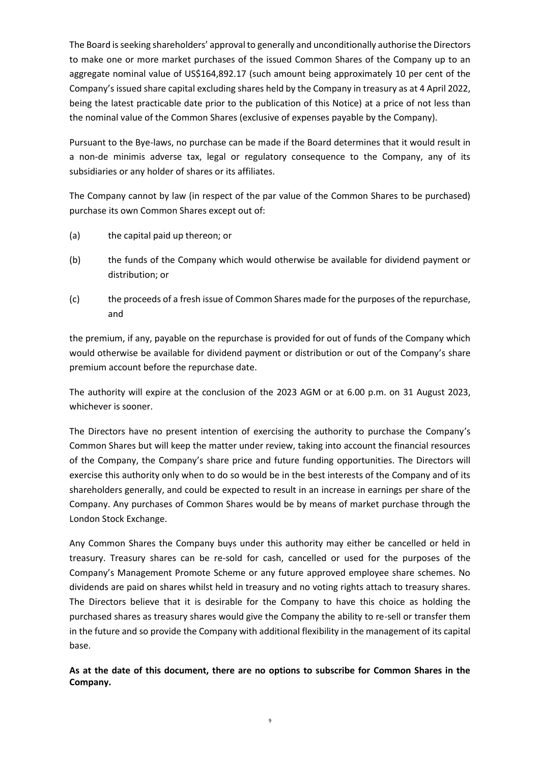The Board is seeking shareholders' approval to generally and unconditionally authorise the Directors to make one or more market purchases of the issued Common Shares of the Company up to an aggregate nominal value of US\$164,892.17 (such amount being approximately 10 per cent of the Company's issued share capital excluding shares held by the Company in treasury as at 4 April 2022, being the latest practicable date prior to the publication of this Notice) at a price of not less than the nominal value of the Common Shares (exclusive of expenses payable by the Company).

Pursuant to the Bye-laws, no purchase can be made if the Board determines that it would result in a non-de minimis adverse tax, legal or regulatory consequence to the Company, any of its subsidiaries or any holder of shares or its affiliates.

The Company cannot by law (in respect of the par value of the Common Shares to be purchased) purchase its own Common Shares except out of:

- (a) the capital paid up thereon; or
- (b) the funds of the Company which would otherwise be available for dividend payment or distribution; or
- (c) the proceeds of a fresh issue of Common Shares made for the purposes of the repurchase, and

the premium, if any, payable on the repurchase is provided for out of funds of the Company which would otherwise be available for dividend payment or distribution or out of the Company's share premium account before the repurchase date.

The authority will expire at the conclusion of the 2023 AGM or at 6.00 p.m. on 31 August 2023, whichever is sooner.

The Directors have no present intention of exercising the authority to purchase the Company's Common Shares but will keep the matter under review, taking into account the financial resources of the Company, the Company's share price and future funding opportunities. The Directors will exercise this authority only when to do so would be in the best interests of the Company and of its shareholders generally, and could be expected to result in an increase in earnings per share of the Company. Any purchases of Common Shares would be by means of market purchase through the London Stock Exchange.

Any Common Shares the Company buys under this authority may either be cancelled or held in treasury. Treasury shares can be re-sold for cash, cancelled or used for the purposes of the Company's Management Promote Scheme or any future approved employee share schemes. No dividends are paid on shares whilst held in treasury and no voting rights attach to treasury shares. The Directors believe that it is desirable for the Company to have this choice as holding the purchased shares as treasury shares would give the Company the ability to re-sell or transfer them in the future and so provide the Company with additional flexibility in the management of its capital base.

**As at the date of this document, there are no options to subscribe for Common Shares in the Company.**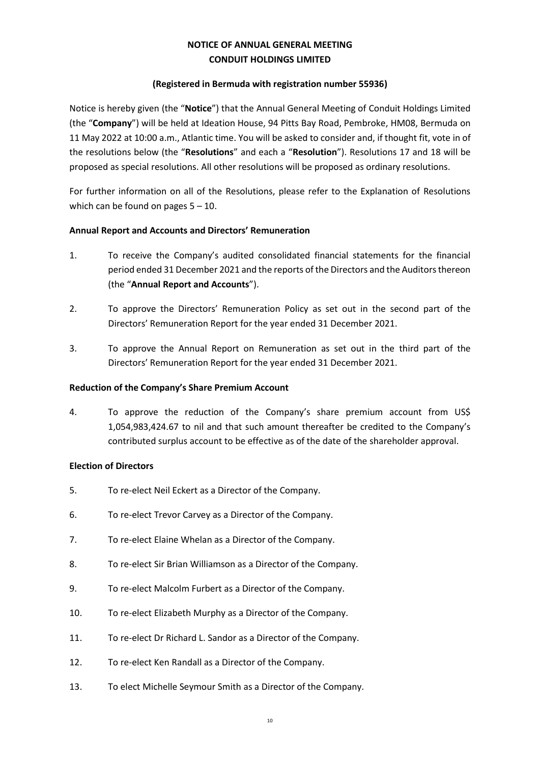# **NOTICE OF ANNUAL GENERAL MEETING CONDUIT HOLDINGS LIMITED**

# **(Registered in Bermuda with registration number 55936)**

Notice is hereby given (the "**Notice**") that the Annual General Meeting of Conduit Holdings Limited (the "**Company**") will be held at Ideation House, 94 Pitts Bay Road, Pembroke, HM08, Bermuda on 11 May 2022 at 10:00 a.m., Atlantic time. You will be asked to consider and, if thought fit, vote in of the resolutions below (the "**Resolutions**" and each a "**Resolution**"). Resolutions 17 and 18 will be proposed as special resolutions. All other resolutions will be proposed as ordinary resolutions.

For further information on all of the Resolutions, please refer to the Explanation of Resolutions which can be found on pages  $5 - 10$ .

# **Annual Report and Accounts and Directors' Remuneration**

- 1. To receive the Company's audited consolidated financial statements for the financial period ended 31 December 2021 and the reports of the Directors and the Auditors thereon (the "**Annual Report and Accounts**").
- 2. To approve the Directors' Remuneration Policy as set out in the second part of the Directors' Remuneration Report for the year ended 31 December 2021.
- 3. To approve the Annual Report on Remuneration as set out in the third part of the Directors' Remuneration Report for the year ended 31 December 2021.

# **Reduction of the Company's Share Premium Account**

4. To approve the reduction of the Company's share premium account from US\$ 1,054,983,424.67 to nil and that such amount thereafter be credited to the Company's contributed surplus account to be effective as of the date of the shareholder approval.

# **Election of Directors**

- 5. To re-elect Neil Eckert as a Director of the Company.
- 6. To re-elect Trevor Carvey as a Director of the Company.
- 7. To re-elect Elaine Whelan as a Director of the Company.
- 8. To re-elect Sir Brian Williamson as a Director of the Company.
- 9. To re-elect Malcolm Furbert as a Director of the Company.
- 10. To re-elect Elizabeth Murphy as a Director of the Company.
- 11. To re-elect Dr Richard L. Sandor as a Director of the Company.
- 12. To re-elect Ken Randall as a Director of the Company.
- 13. To elect Michelle Seymour Smith as a Director of the Company.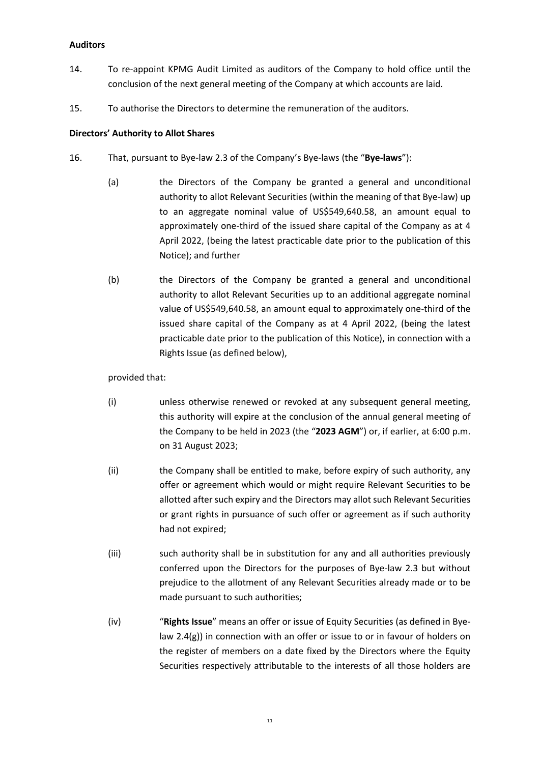# **Auditors**

- 14. To re-appoint KPMG Audit Limited as auditors of the Company to hold office until the conclusion of the next general meeting of the Company at which accounts are laid.
- 15. To authorise the Directors to determine the remuneration of the auditors.

# **Directors' Authority to Allot Shares**

- 16. That, pursuant to Bye-law 2.3 of the Company's Bye-laws (the "**Bye-laws**"):
	- (a) the Directors of the Company be granted a general and unconditional authority to allot Relevant Securities (within the meaning of that Bye-law) up to an aggregate nominal value of US\$549,640.58, an amount equal to approximately one-third of the issued share capital of the Company as at 4 April 2022, (being the latest practicable date prior to the publication of this Notice); and further
	- (b) the Directors of the Company be granted a general and unconditional authority to allot Relevant Securities up to an additional aggregate nominal value of US\$549,640.58, an amount equal to approximately one-third of the issued share capital of the Company as at 4 April 2022, (being the latest practicable date prior to the publication of this Notice), in connection with a Rights Issue (as defined below),

#### provided that:

- (i) unless otherwise renewed or revoked at any subsequent general meeting, this authority will expire at the conclusion of the annual general meeting of the Company to be held in 2023 (the "**2023 AGM**") or, if earlier, at 6:00 p.m. on 31 August 2023;
- (ii) the Company shall be entitled to make, before expiry of such authority, any offer or agreement which would or might require Relevant Securities to be allotted after such expiry and the Directors may allot such Relevant Securities or grant rights in pursuance of such offer or agreement as if such authority had not expired;
- (iii) such authority shall be in substitution for any and all authorities previously conferred upon the Directors for the purposes of Bye-law 2.3 but without prejudice to the allotment of any Relevant Securities already made or to be made pursuant to such authorities;
- (iv) "**Rights Issue**" means an offer or issue of Equity Securities (as defined in Byelaw 2.4(g)) in connection with an offer or issue to or in favour of holders on the register of members on a date fixed by the Directors where the Equity Securities respectively attributable to the interests of all those holders are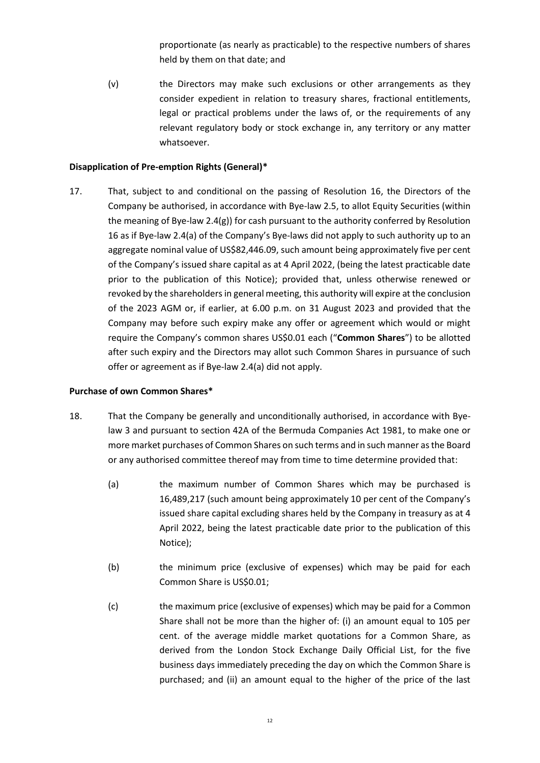proportionate (as nearly as practicable) to the respective numbers of shares held by them on that date; and

(v) the Directors may make such exclusions or other arrangements as they consider expedient in relation to treasury shares, fractional entitlements, legal or practical problems under the laws of, or the requirements of any relevant regulatory body or stock exchange in, any territory or any matter whatsoever.

# **Disapplication of Pre-emption Rights (General)\***

17. That, subject to and conditional on the passing of Resolution 16, the Directors of the Company be authorised, in accordance with Bye-law 2.5, to allot Equity Securities (within the meaning of Bye-law 2.4(g)) for cash pursuant to the authority conferred by Resolution 16 as if Bye-law 2.4(a) of the Company's Bye-laws did not apply to such authority up to an aggregate nominal value of US\$82,446.09, such amount being approximately five per cent of the Company's issued share capital as at 4 April 2022, (being the latest practicable date prior to the publication of this Notice); provided that, unless otherwise renewed or revoked by the shareholders in general meeting, this authority will expire at the conclusion of the 2023 AGM or, if earlier, at 6.00 p.m. on 31 August 2023 and provided that the Company may before such expiry make any offer or agreement which would or might require the Company's common shares US\$0.01 each ("**Common Shares**") to be allotted after such expiry and the Directors may allot such Common Shares in pursuance of such offer or agreement as if Bye-law 2.4(a) did not apply.

# **Purchase of own Common Shares\***

- 18. That the Company be generally and unconditionally authorised, in accordance with Byelaw 3 and pursuant to section 42A of the Bermuda Companies Act 1981, to make one or more market purchases of Common Shares on such terms and in such manner as the Board or any authorised committee thereof may from time to time determine provided that:
	- (a) the maximum number of Common Shares which may be purchased is 16,489,217 (such amount being approximately 10 per cent of the Company's issued share capital excluding shares held by the Company in treasury as at 4 April 2022, being the latest practicable date prior to the publication of this Notice);
	- (b) the minimum price (exclusive of expenses) which may be paid for each Common Share is US\$0.01;
	- (c) the maximum price (exclusive of expenses) which may be paid for a Common Share shall not be more than the higher of: (i) an amount equal to 105 per cent. of the average middle market quotations for a Common Share, as derived from the London Stock Exchange Daily Official List, for the five business days immediately preceding the day on which the Common Share is purchased; and (ii) an amount equal to the higher of the price of the last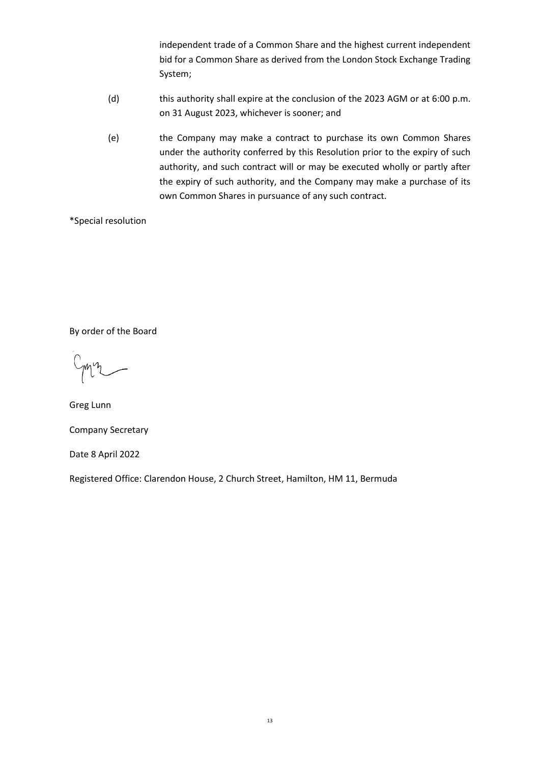independent trade of a Common Share and the highest current independent bid for a Common Share as derived from the London Stock Exchange Trading System;

- (d) this authority shall expire at the conclusion of the 2023 AGM or at 6:00 p.m. on 31 August 2023, whichever is sooner; and
- (e) the Company may make a contract to purchase its own Common Shares under the authority conferred by this Resolution prior to the expiry of such authority, and such contract will or may be executed wholly or partly after the expiry of such authority, and the Company may make a purchase of its own Common Shares in pursuance of any such contract.

\*Special resolution

By order of the Board

Greg Lunn

Company Secretary

Date 8 April 2022

Registered Office: Clarendon House, 2 Church Street, Hamilton, HM 11, Bermuda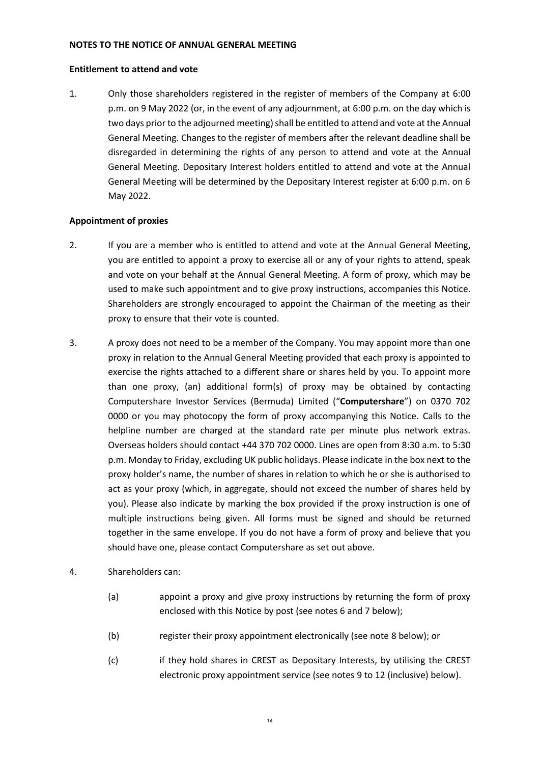# **NOTES TO THE NOTICE OF ANNUAL GENERAL MEETING**

#### **Entitlement to attend and vote**

1. Only those shareholders registered in the register of members of the Company at 6:00 p.m. on 9 May 2022 (or, in the event of any adjournment, at 6:00 p.m. on the day which is two days prior to the adjourned meeting) shall be entitled to attend and vote at the Annual General Meeting. Changes to the register of members after the relevant deadline shall be disregarded in determining the rights of any person to attend and vote at the Annual General Meeting. Depositary Interest holders entitled to attend and vote at the Annual General Meeting will be determined by the Depositary Interest register at 6:00 p.m. on 6 May 2022.

# **Appointment of proxies**

- 2. If you are a member who is entitled to attend and vote at the Annual General Meeting, you are entitled to appoint a proxy to exercise all or any of your rights to attend, speak and vote on your behalf at the Annual General Meeting. A form of proxy, which may be used to make such appointment and to give proxy instructions, accompanies this Notice. Shareholders are strongly encouraged to appoint the Chairman of the meeting as their proxy to ensure that their vote is counted.
- 3. A proxy does not need to be a member of the Company. You may appoint more than one proxy in relation to the Annual General Meeting provided that each proxy is appointed to exercise the rights attached to a different share or shares held by you. To appoint more than one proxy, (an) additional form(s) of proxy may be obtained by contacting Computershare Investor Services (Bermuda) Limited ("**Computershare**") on 0370 702 0000 or you may photocopy the form of proxy accompanying this Notice. Calls to the helpline number are charged at the standard rate per minute plus network extras. Overseas holders should contact +44 370 702 0000. Lines are open from 8:30 a.m. to 5:30 p.m. Monday to Friday, excluding UK public holidays. Please indicate in the box next to the proxy holder's name, the number of shares in relation to which he or she is authorised to act as your proxy (which, in aggregate, should not exceed the number of shares held by you). Please also indicate by marking the box provided if the proxy instruction is one of multiple instructions being given. All forms must be signed and should be returned together in the same envelope. If you do not have a form of proxy and believe that you should have one, please contact Computershare as set out above.

# 4. Shareholders can:

- (a) appoint a proxy and give proxy instructions by returning the form of proxy enclosed with this Notice by post (see notes 6 and 7 below);
- (b) register their proxy appointment electronically (see note 8 below); or
- (c) if they hold shares in CREST as Depositary Interests, by utilising the CREST electronic proxy appointment service (see notes 9 to 12 (inclusive) below).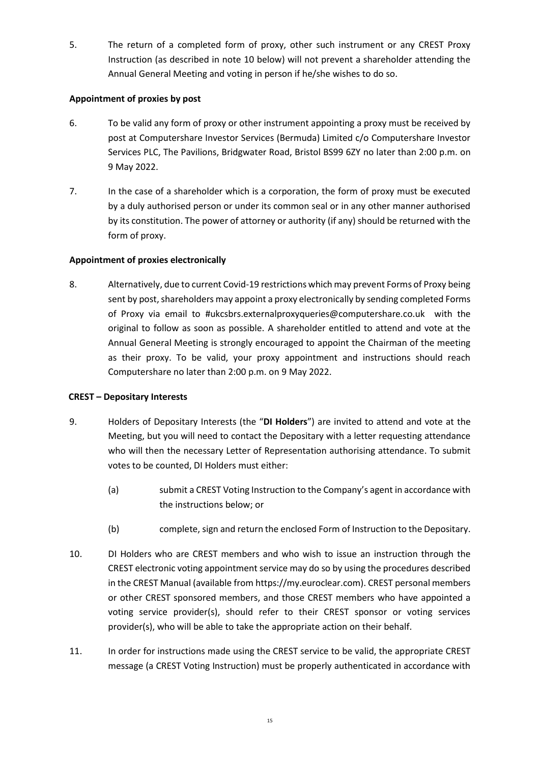5. The return of a completed form of proxy, other such instrument or any CREST Proxy Instruction (as described in note 10 below) will not prevent a shareholder attending the Annual General Meeting and voting in person if he/she wishes to do so.

# **Appointment of proxies by post**

- 6. To be valid any form of proxy or other instrument appointing a proxy must be received by post at Computershare Investor Services (Bermuda) Limited c/o Computershare Investor Services PLC, The Pavilions, Bridgwater Road, Bristol BS99 6ZY no later than 2:00 p.m. on 9 May 2022.
- 7. In the case of a shareholder which is a corporation, the form of proxy must be executed by a duly authorised person or under its common seal or in any other manner authorised by its constitution. The power of attorney or authority (if any) should be returned with the form of proxy.

# **Appointment of proxies electronically**

8. Alternatively, due to current Covid-19 restrictions which may prevent Forms of Proxy being sent by post, shareholders may appoint a proxy electronically by sending completed Forms of Proxy via email to #ukcsbrs.externalproxyqueries@computershare.co.uk with the original to follow as soon as possible. A shareholder entitled to attend and vote at the Annual General Meeting is strongly encouraged to appoint the Chairman of the meeting as their proxy. To be valid, your proxy appointment and instructions should reach Computershare no later than 2:00 p.m. on 9 May 2022.

# **CREST – Depositary Interests**

- 9. Holders of Depositary Interests (the "**DI Holders**") are invited to attend and vote at the Meeting, but you will need to contact the Depositary with a letter requesting attendance who will then the necessary Letter of Representation authorising attendance. To submit votes to be counted, DI Holders must either:
	- (a) submit a CREST Voting Instruction to the Company's agent in accordance with the instructions below; or
	- (b) complete, sign and return the enclosed Form of Instruction to the Depositary.
- 10. DI Holders who are CREST members and who wish to issue an instruction through the CREST electronic voting appointment service may do so by using the procedures described in the CREST Manual (available from https://my.euroclear.com). CREST personal members or other CREST sponsored members, and those CREST members who have appointed a voting service provider(s), should refer to their CREST sponsor or voting services provider(s), who will be able to take the appropriate action on their behalf.
- 11. In order for instructions made using the CREST service to be valid, the appropriate CREST message (a CREST Voting Instruction) must be properly authenticated in accordance with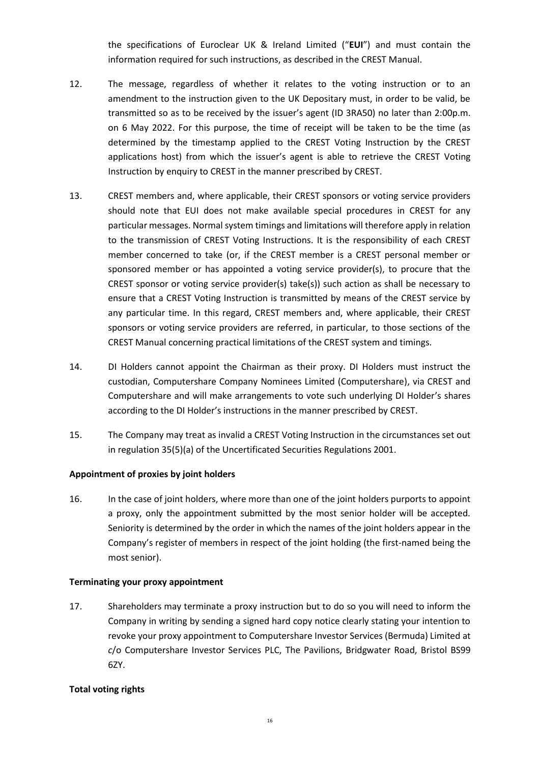the specifications of Euroclear UK & Ireland Limited ("**EUI**") and must contain the information required for such instructions, as described in the CREST Manual.

- 12. The message, regardless of whether it relates to the voting instruction or to an amendment to the instruction given to the UK Depositary must, in order to be valid, be transmitted so as to be received by the issuer's agent (ID 3RA50) no later than 2:00p.m. on 6 May 2022. For this purpose, the time of receipt will be taken to be the time (as determined by the timestamp applied to the CREST Voting Instruction by the CREST applications host) from which the issuer's agent is able to retrieve the CREST Voting Instruction by enquiry to CREST in the manner prescribed by CREST.
- 13. CREST members and, where applicable, their CREST sponsors or voting service providers should note that EUI does not make available special procedures in CREST for any particular messages. Normal system timings and limitations will therefore apply in relation to the transmission of CREST Voting Instructions. It is the responsibility of each CREST member concerned to take (or, if the CREST member is a CREST personal member or sponsored member or has appointed a voting service provider(s), to procure that the CREST sponsor or voting service provider(s) take(s)) such action as shall be necessary to ensure that a CREST Voting Instruction is transmitted by means of the CREST service by any particular time. In this regard, CREST members and, where applicable, their CREST sponsors or voting service providers are referred, in particular, to those sections of the CREST Manual concerning practical limitations of the CREST system and timings.
- 14. DI Holders cannot appoint the Chairman as their proxy. DI Holders must instruct the custodian, Computershare Company Nominees Limited (Computershare), via CREST and Computershare and will make arrangements to vote such underlying DI Holder's shares according to the DI Holder's instructions in the manner prescribed by CREST.
- 15. The Company may treat as invalid a CREST Voting Instruction in the circumstances set out in regulation 35(5)(a) of the Uncertificated Securities Regulations 2001.

# **Appointment of proxies by joint holders**

16. In the case of joint holders, where more than one of the joint holders purports to appoint a proxy, only the appointment submitted by the most senior holder will be accepted. Seniority is determined by the order in which the names of the joint holders appear in the Company's register of members in respect of the joint holding (the first-named being the most senior).

# **Terminating your proxy appointment**

17. Shareholders may terminate a proxy instruction but to do so you will need to inform the Company in writing by sending a signed hard copy notice clearly stating your intention to revoke your proxy appointment to Computershare Investor Services (Bermuda) Limited at *c*/o Computershare Investor Services PLC, The Pavilions, Bridgwater Road, Bristol BS99 6ZY.

# **Total voting rights**